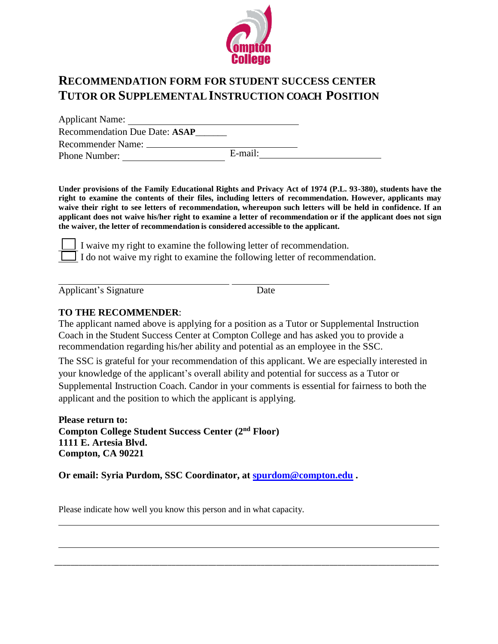

## **RECOMMENDATION FORM FOR STUDENT SUCCESS CENTER TUTOR OR SUPPLEMENTALINSTRUCTION COACH POSITION**

Applicant Name: Recommendation Due Date: **ASAP**\_\_\_\_\_\_\_ Recommender Name:

Phone Number: E-mail:

**Under provisions of the Family Educational Rights and Privacy Act of 1974 (P.L. 93-380), students have the right to examine the contents of their files, including letters of recommendation. However, applicants may**  waive their right to see letters of recommendation, whereupon such letters will be held in confidence. If an applicant does not waive his/her right to examine a letter of recommendation or if the applicant does not sign **the waiver, the letter of recommendation is considered accessible to the applicant.**

I waive my right to examine the following letter of recommendation. I do not waive my right to examine the following letter of recommendation.

Applicant's Signature Date

## **TO THE RECOMMENDER**:

The applicant named above is applying for a position as a Tutor or Supplemental Instruction Coach in the Student Success Center at Compton College and has asked you to provide a recommendation regarding his/her ability and potential as an employee in the SSC.

The SSC is grateful for your recommendation of this applicant. We are especially interested in your knowledge of the applicant's overall ability and potential for success as a Tutor or Supplemental Instruction Coach. Candor in your comments is essential for fairness to both the applicant and the position to which the applicant is applying.

\_\_\_\_\_\_\_\_\_\_\_\_\_\_\_\_\_\_\_\_\_\_\_\_\_\_\_\_\_\_\_\_\_\_\_\_\_\_\_\_\_\_\_\_\_\_\_\_\_\_\_\_\_\_\_\_\_\_\_\_\_\_\_\_\_\_\_\_\_\_\_\_\_\_\_\_\_\_\_\_\_\_\_\_\_\_\_\_\_\_\_\_\_\_\_

**Please return to: Compton College Student Success Center (2nd Floor) 1111 E. Artesia Blvd. Compton, CA 90221**

**Or email: Syria Purdom, SSC Coordinator, at [spurdom@compton.edu](mailto:spurdom@compton.edu) .**

Please indicate how well you know this person and in what capacity.